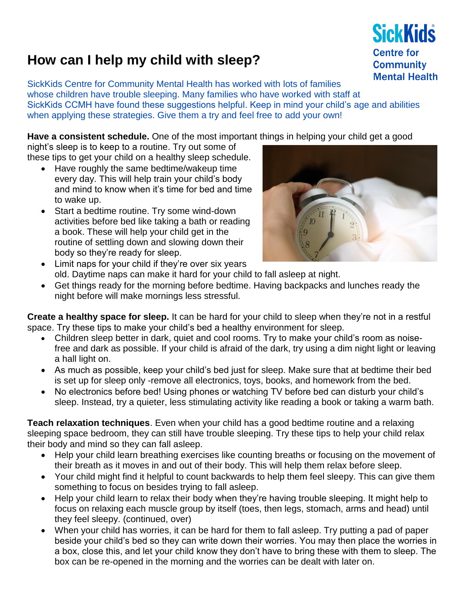## **How can I help my child with sleep?**

SickKids Centre for Community Mental Health has worked with lots of families whose children have trouble sleeping. Many families who have worked with staff at SickKids CCMH have found these suggestions helpful. Keep in mind your child's age and abilities when applying these strategies. Give them a try and feel free to add your own!

**Have a consistent schedule.** One of the most important things in helping your child get a good

night's sleep is to keep to a routine. Try out some of these tips to get your child on a healthy sleep schedule.

- Have roughly the same bedtime/wakeup time every day. This will help train your child's body and mind to know when it's time for bed and time to wake up.
- Start a bedtime routine. Try some wind-down activities before bed like taking a bath or reading a book. These will help your child get in the routine of settling down and slowing down their body so they're ready for sleep.



- Limit naps for your child if they're over six years old. Daytime naps can make it hard for your child to fall asleep at night.
- Get things ready for the morning before bedtime. Having backpacks and lunches ready the night before will make mornings less stressful.

**Create a healthy space for sleep.** It can be hard for your child to sleep when they're not in a restful space. Try these tips to make your child's bed a healthy environment for sleep.

- Children sleep better in dark, quiet and cool rooms. Try to make your child's room as noisefree and dark as possible. If your child is afraid of the dark, try using a dim night light or leaving a hall light on.
- As much as possible, keep your child's bed just for sleep. Make sure that at bedtime their bed is set up for sleep only -remove all electronics, toys, books, and homework from the bed.
- No electronics before bed! Using phones or watching TV before bed can disturb your child's sleep. Instead, try a quieter, less stimulating activity like reading a book or taking a warm bath.

**Teach relaxation techniques**. Even when your child has a good bedtime routine and a relaxing sleeping space bedroom, they can still have trouble sleeping. Try these tips to help your child relax their body and mind so they can fall asleep.

- Help your child learn breathing exercises like counting breaths or focusing on the movement of their breath as it moves in and out of their body. This will help them relax before sleep.
- Your child might find it helpful to count backwards to help them feel sleepy. This can give them something to focus on besides trying to fall asleep.
- Help your child learn to relax their body when they're having trouble sleeping. It might help to focus on relaxing each muscle group by itself (toes, then legs, stomach, arms and head) until they feel sleepy. (continued, over)
- When your child has worries, it can be hard for them to fall asleep. Try putting a pad of paper beside your child's bed so they can write down their worries. You may then place the worries in a box, close this, and let your child know they don't have to bring these with them to sleep. The box can be re-opened in the morning and the worries can be dealt with later on.

**SickKids Centre for Community Mental Health**